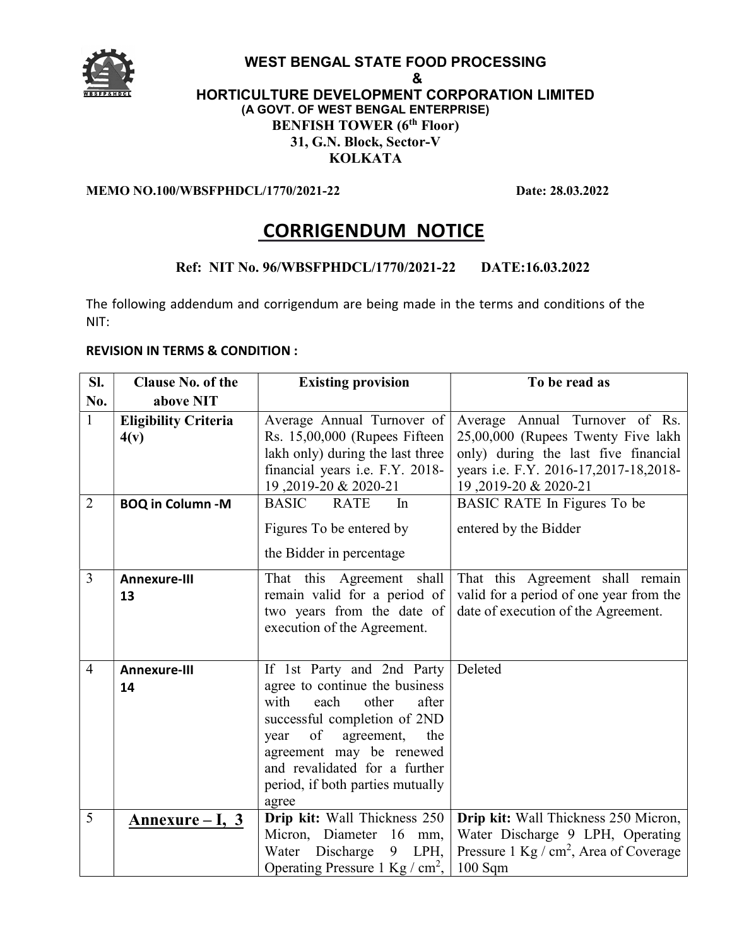

#### WEST BENGAL STATE FOOD PROCESSING & HORTICULTURE DEVELOPMENT CORPORATION LIMITED (A GOVT. OF WEST BENGAL ENTERPRISE) BENFISH TOWER (6<sup>th</sup> Floor) 31, G.N. Block, Sector-V KOLKATA

#### MEMO NO.100/WBSFPHDCL/1770/2021-22 Date: 28.03.2022

# CORRIGENDUM NOTICE

#### Ref: NIT No. 96/WBSFPHDCL/1770/2021-22 DATE:16.03.2022

The following addendum and corrigendum are being made in the terms and conditions of the NIT:

#### REVISION IN TERMS & CONDITION :

| Sl.            | <b>Clause No. of the</b>            | <b>Existing provision</b>                                        | To be read as                                                        |
|----------------|-------------------------------------|------------------------------------------------------------------|----------------------------------------------------------------------|
| No.            | above NIT                           |                                                                  |                                                                      |
| $\mathbf{1}$   | <b>Eligibility Criteria</b><br>4(v) | Average Annual Turnover of<br>Rs. 15,00,000 (Rupees Fifteen      | Average Annual Turnover of Rs.<br>25,00,000 (Rupees Twenty Five lakh |
|                |                                     | lakh only) during the last three                                 | only) during the last five financial                                 |
|                |                                     | financial years i.e. F.Y. 2018-                                  | years i.e. F.Y. 2016-17,2017-18,2018-                                |
| $\overline{2}$ | <b>BOQ in Column -M</b>             | 19,2019-20 & 2020-21<br><b>BASIC</b><br><b>RATE</b><br>In        | 19,2019-20 & 2020-21<br>BASIC RATE In Figures To be                  |
|                |                                     |                                                                  |                                                                      |
|                |                                     | Figures To be entered by                                         | entered by the Bidder                                                |
|                |                                     | the Bidder in percentage                                         |                                                                      |
| 3              | <b>Annexure-III</b>                 | That this Agreement shall                                        | That this Agreement shall remain                                     |
|                | 13                                  | remain valid for a period of                                     | valid for a period of one year from the                              |
|                |                                     | two years from the date of                                       | date of execution of the Agreement.                                  |
|                |                                     | execution of the Agreement.                                      |                                                                      |
|                |                                     |                                                                  |                                                                      |
| $\overline{4}$ | <b>Annexure-III</b>                 | If 1st Party and 2nd Party                                       | Deleted                                                              |
|                | 14                                  | agree to continue the business<br>with<br>each<br>other<br>after |                                                                      |
|                |                                     | successful completion of 2ND                                     |                                                                      |
|                |                                     | of<br>agreement,<br>the<br>year                                  |                                                                      |
|                |                                     | agreement may be renewed                                         |                                                                      |
|                |                                     | and revalidated for a further                                    |                                                                      |
|                |                                     | period, if both parties mutually                                 |                                                                      |
|                |                                     | agree                                                            |                                                                      |
| 5              | <u>Annexure – I, 3</u>              | Drip kit: Wall Thickness 250                                     | Drip kit: Wall Thickness 250 Micron,                                 |
|                |                                     | Micron, Diameter 16 mm,                                          | Water Discharge 9 LPH, Operating                                     |
|                |                                     | Water Discharge<br>LPH,<br>9                                     | Pressure $1 \text{ Kg } / \text{ cm}^2$ , Area of Coverage           |
|                |                                     | Operating Pressure 1 Kg $/cm2$ ,                                 | $100$ Sqm                                                            |